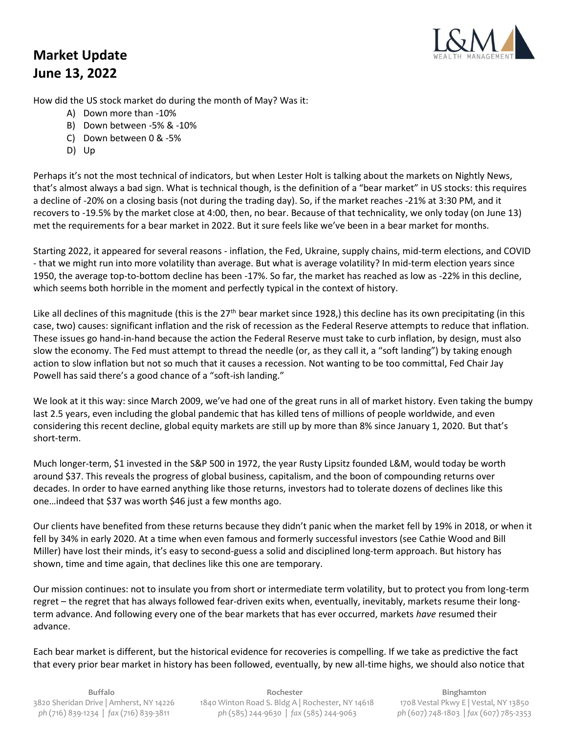## **Market Update June 13, 2022**



How did the US stock market do during the month of May? Was it:

- A) Down more than -10%
- B) Down between -5% & -10%
- C) Down between 0 & -5%
- D) Up

Perhaps it's not the most technical of indicators, but when Lester Holt is talking about the markets on Nightly News, that's almost always a bad sign. What is technical though, is the definition of a "bear market" in US stocks: this requires a decline of -20% on a closing basis (not during the trading day). So, if the market reaches -21% at 3:30 PM, and it recovers to -19.5% by the market close at 4:00, then, no bear. Because of that technicality, we only today (on June 13) met the requirements for a bear market in 2022. But it sure feels like we've been in a bear market for months.

Starting 2022, it appeared for several reasons - inflation, the Fed, Ukraine, supply chains, mid-term elections, and COVID - that we might run into more volatility than average. But what is average volatility? In mid-term election years since 1950, the average top-to-bottom decline has been -17%. So far, the market has reached as low as -22% in this decline, which seems both horrible in the moment and perfectly typical in the context of history.

Like all declines of this magnitude (this is the 27<sup>th</sup> bear market since 1928,) this decline has its own precipitating (in this case, two) causes: significant inflation and the risk of recession as the Federal Reserve attempts to reduce that inflation. These issues go hand-in-hand because the action the Federal Reserve must take to curb inflation, by design, must also slow the economy. The Fed must attempt to thread the needle (or, as they call it, a "soft landing") by taking enough action to slow inflation but not so much that it causes a recession. Not wanting to be too committal, Fed Chair Jay Powell has said there's a good chance of a "soft-ish landing."

We look at it this way: since March 2009, we've had one of the great runs in all of market history. Even taking the bumpy last 2.5 years, even including the global pandemic that has killed tens of millions of people worldwide, and even considering this recent decline, global equity markets are still up by more than 8% since January 1, 2020. But that's short-term.

Much longer-term, \$1 invested in the S&P 500 in 1972, the year Rusty Lipsitz founded L&M, would today be worth around \$37. This reveals the progress of global business, capitalism, and the boon of compounding returns over decades. In order to have earned anything like those returns, investors had to tolerate dozens of declines like this one…indeed that \$37 was worth \$46 just a few months ago.

Our clients have benefited from these returns because they didn't panic when the market fell by 19% in 2018, or when it fell by 34% in early 2020. At a time when even famous and formerly successful investors (see Cathie Wood and Bill Miller) have lost their minds, it's easy to second-guess a solid and disciplined long-term approach. But history has shown, time and time again, that declines like this one are temporary.

Our mission continues: not to insulate you from short or intermediate term volatility, but to protect you from long-term regret – the regret that has always followed fear-driven exits when, eventually, inevitably, markets resume their longterm advance. And following every one of the bear markets that has ever occurred, markets *have* resumed their advance.

Each bear market is different, but the historical evidence for recoveries is compelling. If we take as predictive the fact that every prior bear market in history has been followed, eventually, by new all-time highs, we should also notice that